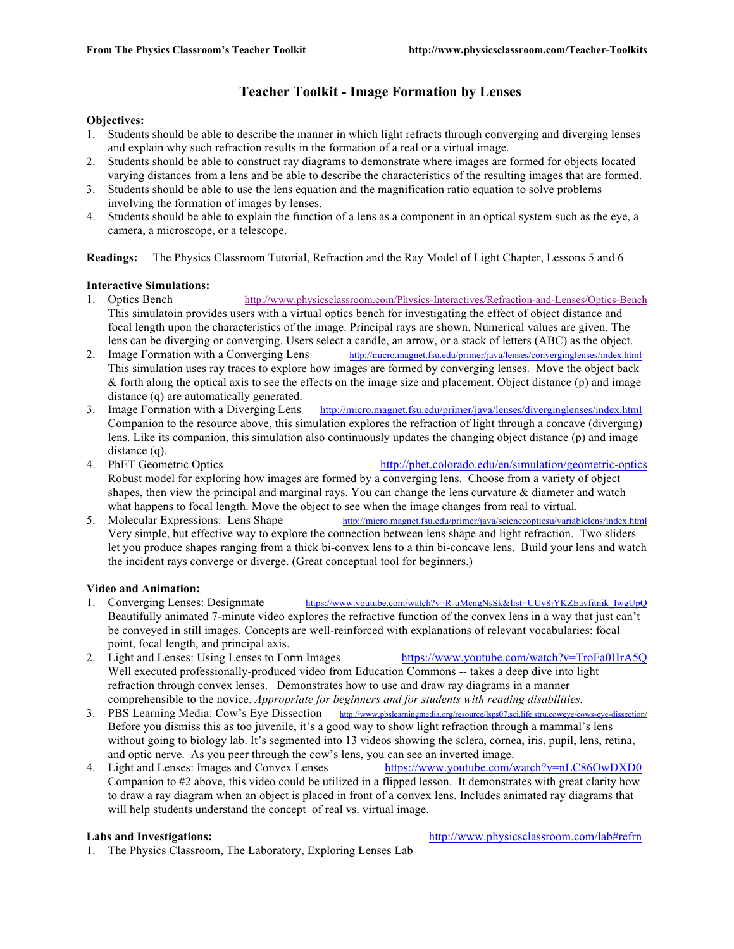# **Teacher Toolkit - Image Formation by Lenses**

## **Objectives:**

- 1. Students should be able to describe the manner in which light refracts through converging and diverging lenses and explain why such refraction results in the formation of a real or a virtual image.
- 2. Students should be able to construct ray diagrams to demonstrate where images are formed for objects located varying distances from a lens and be able to describe the characteristics of the resulting images that are formed.
- 3. Students should be able to use the lens equation and the magnification ratio equation to solve problems involving the formation of images by lenses.
- 4. Students should be able to explain the function of a lens as a component in an optical system such as the eye, a camera, a microscope, or a telescope.

**Readings:** The Physics Classroom Tutorial, Refraction and the Ray Model of Light Chapter, Lessons 5 and 6

# **Interactive Simulations:**

- 1. Optics Bench http://www.physicsclassroom.com/Physics-Interactives/Refraction-and-Lenses/Optics-Bench This simulatoin provides users with a virtual optics bench for investigating the effect of object distance and focal length upon the characteristics of the image. Principal rays are shown. Numerical values are given. The lens can be diverging or converging. Users select a candle, an arrow, or a stack of letters (ABC) as the object.
- 2. Image Formation with a Converging Lens http://micro.magnet.fsu.edu/primer/java/lenses/converginglenses/index.html This simulation uses ray traces to explore how images are formed by converging lenses. Move the object back & forth along the optical axis to see the effects on the image size and placement. Object distance (p) and image distance (q) are automatically generated.
- 3. Image Formation with a Diverging Lens http://micro.magnet.fsu.edu/primer/java/lenses/diverginglenses/index.html Companion to the resource above, this simulation explores the refraction of light through a concave (diverging) lens. Like its companion, this simulation also continuously updates the changing object distance (p) and image distance (q).
- 4. PhET Geometric Optics http://phet.colorado.edu/en/simulation/geometric-optics Robust model for exploring how images are formed by a converging lens. Choose from a variety of object shapes, then view the principal and marginal rays. You can change the lens curvature  $\&$  diameter and watch what happens to focal length. Move the object to see when the image changes from real to virtual.
- 5. Molecular Expressions: Lens Shape http://micro.magnet.fsu.edu/primer/java/scienceopticsu/variablelens/index.html Very simple, but effective way to explore the connection between lens shape and light refraction. Two sliders let you produce shapes ranging from a thick bi-convex lens to a thin bi-concave lens. Build your lens and watch the incident rays converge or diverge. (Great conceptual tool for beginners.)

# **Video and Animation:**

- 1. Converging Lenses: Designmate https://www.youtube.com/watch?v=R-uMcngNsSk&list=UUy8jYKZEavfitnik\_IwgUpQ Beautifully animated 7-minute video explores the refractive function of the convex lens in a way that just can't be conveyed in still images. Concepts are well-reinforced with explanations of relevant vocabularies: focal point, focal length, and principal axis.
- 2. Light and Lenses: Using Lenses to Form Images https://www.youtube.com/watch?v=TroFa0HrA5Q Well executed professionally-produced video from Education Commons -- takes a deep dive into light refraction through convex lenses. Demonstrates how to use and draw ray diagrams in a manner comprehensible to the novice. *Appropriate for beginners and for students with reading disabilities.*
- 3. PBS Learning Media: Cow's Eye Dissection http://www.pbslearningmedia.org/resource/lsps07.sci.life.stru.coweye/cows-eye-dissection/ Before you dismiss this as too juvenile, it's a good way to show light refraction through a mammal's lens without going to biology lab. It's segmented into 13 videos showing the sclera, cornea, iris, pupil, lens, retina, and optic nerve. As you peer through the cow's lens, you can see an inverted image.
- 4. Light and Lenses: Images and Convex Lenses https://www.youtube.com/watch?v=nLC86OwDXD0 Companion to #2 above, this video could be utilized in a flipped lesson. It demonstrates with great clarity how to draw a ray diagram when an object is placed in front of a convex lens. Includes animated ray diagrams that will help students understand the concept of real vs. virtual image.

Labs and Investigations: **http://www.physicsclassroom.com/lab#refrn** 

1. The Physics Classroom, The Laboratory, Exploring Lenses Lab